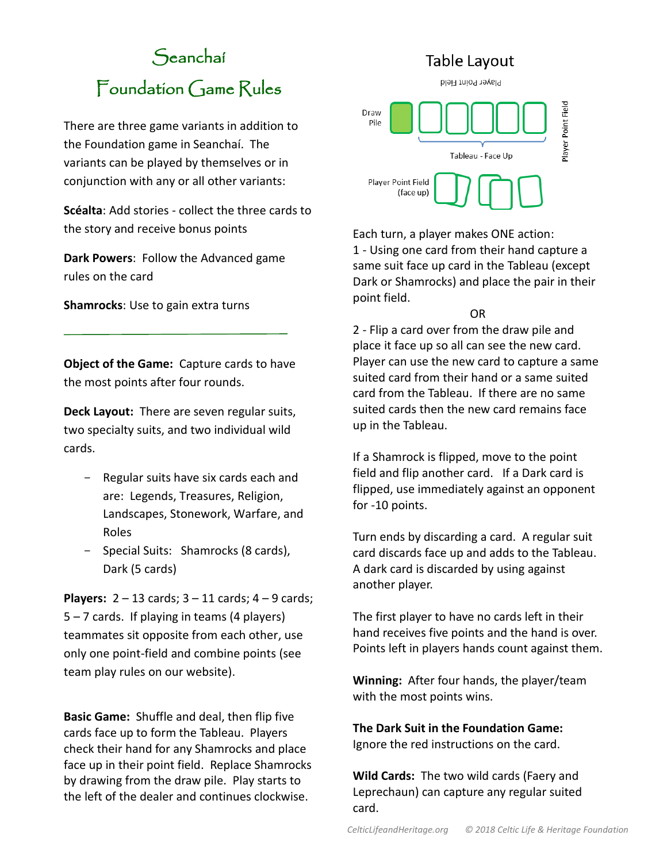# Seanchaí Foundation Game Rules

There are three game variants in addition to the Foundation game in Seanchaí. The variants can be played by themselves or in conjunction with any or all other variants:

**Scéalta**: Add stories - collect the three cards to the story and receive bonus points

**Dark Powers**: Follow the Advanced game rules on the card

**Shamrocks**: Use to gain extra turns

**Object of the Game:** Capture cards to have the most points after four rounds.

**Deck Layout:** There are seven regular suits, two specialty suits, and two individual wild cards.

- Regular suits have six cards each and are: Legends, Treasures, Religion, Landscapes, Stonework, Warfare, and Roles
- Special Suits: Shamrocks (8 cards), Dark (5 cards)

**Players:** 2 – 13 cards; 3 – 11 cards; 4 – 9 cards; 5 – 7 cards. If playing in teams (4 players) teammates sit opposite from each other, use only one point-field and combine points (see team play rules on our website).

**Basic Game:** Shuffle and deal, then flip five cards face up to form the Tableau. Players check their hand for any Shamrocks and place face up in their point field. Replace Shamrocks by drawing from the draw pile. Play starts to the left of the dealer and continues clockwise.



Each turn, a player makes ONE action: 1 - Using one card from their hand capture a same suit face up card in the Tableau (except Dark or Shamrocks) and place the pair in their point field.

OR

2 - Flip a card over from the draw pile and place it face up so all can see the new card. Player can use the new card to capture a same suited card from their hand or a same suited card from the Tableau. If there are no same suited cards then the new card remains face up in the Tableau.

If a Shamrock is flipped, move to the point field and flip another card. If a Dark card is flipped, use immediately against an opponent for -10 points.

Turn ends by discarding a card. A regular suit card discards face up and adds to the Tableau. A dark card is discarded by using against another player.

The first player to have no cards left in their hand receives five points and the hand is over. Points left in players hands count against them.

**Winning:** After four hands, the player/team with the most points wins.

**The Dark Suit in the Foundation Game:** Ignore the red instructions on the card.

**Wild Cards:** The two wild cards (Faery and Leprechaun) can capture any regular suited card.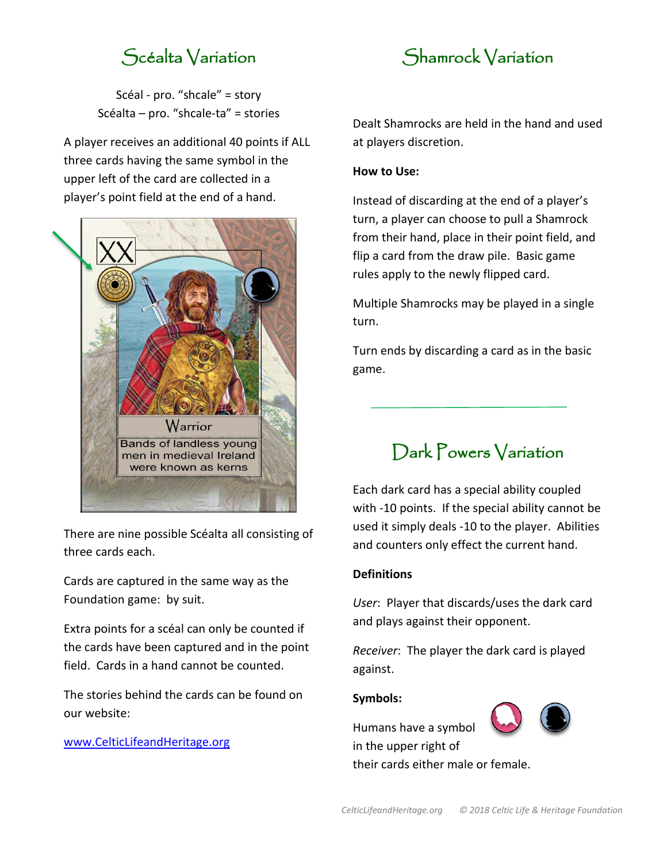## Scéalta Variation

Scéal - pro. "shcale" = story Scéalta – pro. "shcale-ta" = stories

A player receives an additional 40 points if ALL three cards having the same symbol in the upper left of the card are collected in a player's point field at the end of a hand.



There are nine possible Scéalta all consisting of three cards each.

Cards are captured in the same way as the Foundation game: by suit.

Extra points for a scéal can only be counted if the cards have been captured and in the point field. Cards in a hand cannot be counted.

The stories behind the cards can be found on our website:

[www.CelticLifeandHeritage.org](http://www.celticlifeandheritage.org/)



Dealt Shamrocks are held in the hand and used at players discretion.

### **How to Use:**

Instead of discarding at the end of a player's turn, a player can choose to pull a Shamrock from their hand, place in their point field, and flip a card from the draw pile. Basic game rules apply to the newly flipped card.

Multiple Shamrocks may be played in a single turn.

Turn ends by discarding a card as in the basic game.

### Dark Powers Variation

Each dark card has a special ability coupled with -10 points. If the special ability cannot be used it simply deals -10 to the player. Abilities and counters only effect the current hand.

### **Definitions**

*User*: Player that discards/uses the dark card and plays against their opponent.

*Receiver*: The player the dark card is played against.

#### **Symbols:**

Humans have a symbol in the upper right of

their cards either male or female.